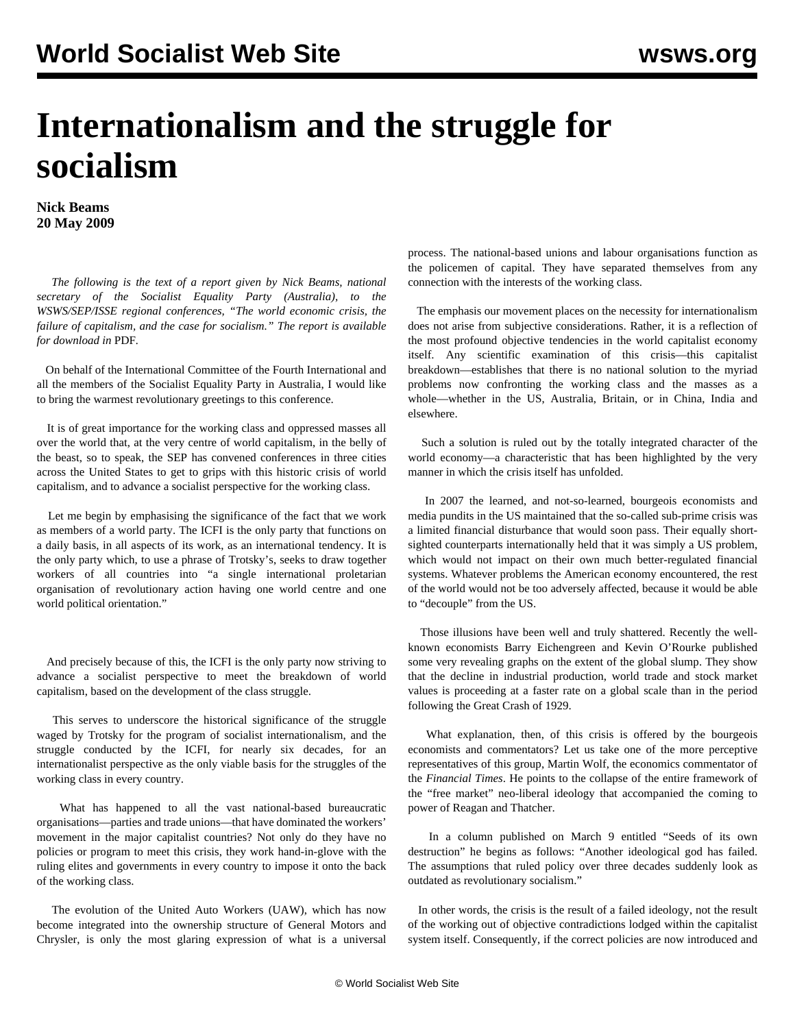## **Internationalism and the struggle for socialism**

**Nick Beams 20 May 2009**

 *The following is the text of a report given by Nick Beams, national secretary of the Socialist Equality Party (Australia), to the WSWS/SEP/ISSE regional conferences, "The world economic crisis, the failure of capitalism, and the case for socialism." The report is available for download in* PDF*.*

 On behalf of the International Committee of the Fourth International and all the members of the Socialist Equality Party in Australia, I would like to bring the warmest revolutionary greetings to this conference.

 It is of great importance for the working class and oppressed masses all over the world that, at the very centre of world capitalism, in the belly of the beast, so to speak, the SEP has convened conferences in three cities across the United States to get to grips with this historic crisis of world capitalism, and to advance a socialist perspective for the working class.

 Let me begin by emphasising the significance of the fact that we work as members of a world party. The ICFI is the only party that functions on a daily basis, in all aspects of its work, as an international tendency. It is the only party which, to use a phrase of Trotsky's, seeks to draw together workers of all countries into "a single international proletarian organisation of revolutionary action having one world centre and one world political orientation."

 And precisely because of this, the ICFI is the only party now striving to advance a socialist perspective to meet the breakdown of world capitalism, based on the development of the class struggle.

 This serves to underscore the historical significance of the struggle waged by Trotsky for the program of socialist internationalism, and the struggle conducted by the ICFI, for nearly six decades, for an internationalist perspective as the only viable basis for the struggles of the working class in every country.

 What has happened to all the vast national-based bureaucratic organisations—parties and trade unions—that have dominated the workers' movement in the major capitalist countries? Not only do they have no policies or program to meet this crisis, they work hand-in-glove with the ruling elites and governments in every country to impose it onto the back of the working class.

 The evolution of the United Auto Workers (UAW), which has now become integrated into the ownership structure of General Motors and Chrysler, is only the most glaring expression of what is a universal process. The national-based unions and labour organisations function as the policemen of capital. They have separated themselves from any connection with the interests of the working class.

 The emphasis our movement places on the necessity for internationalism does not arise from subjective considerations. Rather, it is a reflection of the most profound objective tendencies in the world capitalist economy itself. Any scientific examination of this crisis—this capitalist breakdown—establishes that there is no national solution to the myriad problems now confronting the working class and the masses as a whole—whether in the US, Australia, Britain, or in China, India and elsewhere.

 Such a solution is ruled out by the totally integrated character of the world economy—a characteristic that has been highlighted by the very manner in which the crisis itself has unfolded.

 In 2007 the learned, and not-so-learned, bourgeois economists and media pundits in the US maintained that the so-called sub-prime crisis was a limited financial disturbance that would soon pass. Their equally shortsighted counterparts internationally held that it was simply a US problem, which would not impact on their own much better-regulated financial systems. Whatever problems the American economy encountered, the rest of the world would not be too adversely affected, because it would be able to "decouple" from the US.

 Those illusions have been well and truly shattered. Recently the wellknown economists Barry Eichengreen and Kevin O'Rourke published some very revealing graphs on the extent of the global slump. They show that the decline in industrial production, world trade and stock market values is proceeding at a faster rate on a global scale than in the period following the Great Crash of 1929.

 What explanation, then, of this crisis is offered by the bourgeois economists and commentators? Let us take one of the more perceptive representatives of this group, Martin Wolf, the economics commentator of the *Financial Times*. He points to the collapse of the entire framework of the "free market" neo-liberal ideology that accompanied the coming to power of Reagan and Thatcher.

 In a column published on March 9 entitled "Seeds of its own destruction" he begins as follows: "Another ideological god has failed. The assumptions that ruled policy over three decades suddenly look as outdated as revolutionary socialism."

 In other words, the crisis is the result of a failed ideology, not the result of the working out of objective contradictions lodged within the capitalist system itself. Consequently, if the correct policies are now introduced and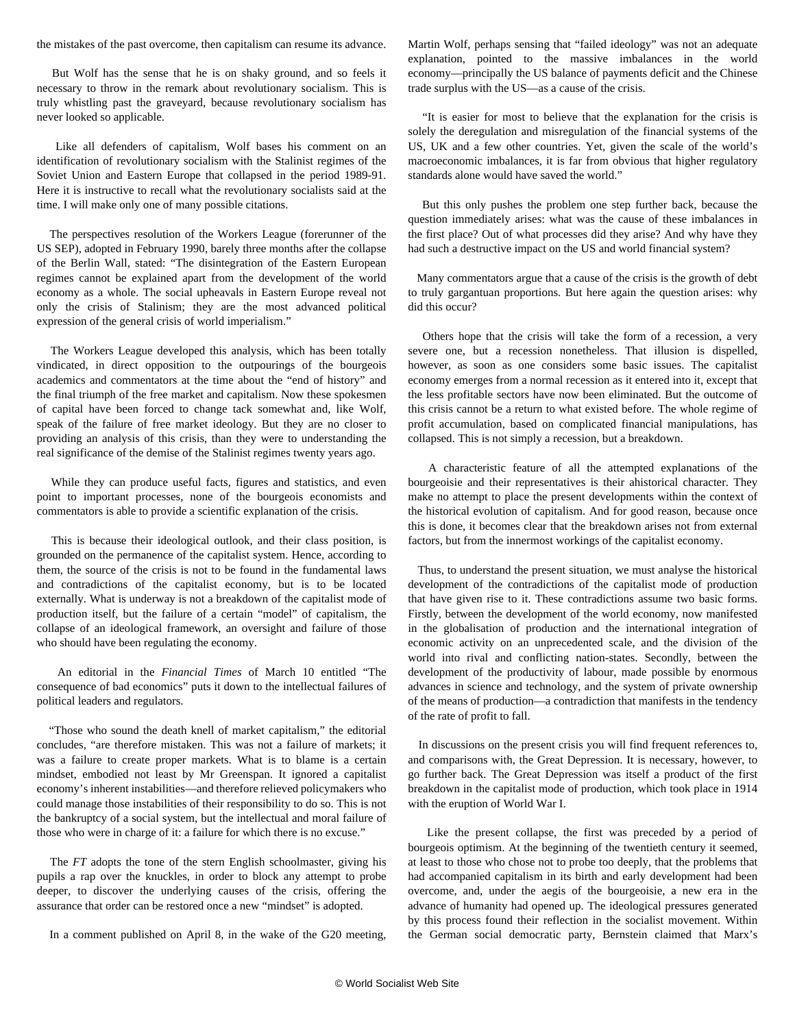the mistakes of the past overcome, then capitalism can resume its advance.

 But Wolf has the sense that he is on shaky ground, and so feels it necessary to throw in the remark about revolutionary socialism. This is truly whistling past the graveyard, because revolutionary socialism has never looked so applicable.

 Like all defenders of capitalism, Wolf bases his comment on an identification of revolutionary socialism with the Stalinist regimes of the Soviet Union and Eastern Europe that collapsed in the period 1989-91. Here it is instructive to recall what the revolutionary socialists said at the time. I will make only one of many possible citations.

 The perspectives resolution of the Workers League (forerunner of the US SEP), adopted in February 1990, barely three months after the collapse of the Berlin Wall, stated: "The disintegration of the Eastern European regimes cannot be explained apart from the development of the world economy as a whole. The social upheavals in Eastern Europe reveal not only the crisis of Stalinism; they are the most advanced political expression of the general crisis of world imperialism."

 The Workers League developed this analysis, which has been totally vindicated, in direct opposition to the outpourings of the bourgeois academics and commentators at the time about the "end of history" and the final triumph of the free market and capitalism. Now these spokesmen of capital have been forced to change tack somewhat and, like Wolf, speak of the failure of free market ideology. But they are no closer to providing an analysis of this crisis, than they were to understanding the real significance of the demise of the Stalinist regimes twenty years ago.

 While they can produce useful facts, figures and statistics, and even point to important processes, none of the bourgeois economists and commentators is able to provide a scientific explanation of the crisis.

 This is because their ideological outlook, and their class position, is grounded on the permanence of the capitalist system. Hence, according to them, the source of the crisis is not to be found in the fundamental laws and contradictions of the capitalist economy, but is to be located externally. What is underway is not a breakdown of the capitalist mode of production itself, but the failure of a certain "model" of capitalism, the collapse of an ideological framework, an oversight and failure of those who should have been regulating the economy.

 An editorial in the *Financial Times* of March 10 entitled "The consequence of bad economics" puts it down to the intellectual failures of political leaders and regulators.

 "Those who sound the death knell of market capitalism," the editorial concludes, "are therefore mistaken. This was not a failure of markets; it was a failure to create proper markets. What is to blame is a certain mindset, embodied not least by Mr Greenspan. It ignored a capitalist economy's inherent instabilities—and therefore relieved policymakers who could manage those instabilities of their responsibility to do so. This is not the bankruptcy of a social system, but the intellectual and moral failure of those who were in charge of it: a failure for which there is no excuse."

 The *FT* adopts the tone of the stern English schoolmaster, giving his pupils a rap over the knuckles, in order to block any attempt to probe deeper, to discover the underlying causes of the crisis, offering the assurance that order can be restored once a new "mindset" is adopted.

In a comment published on April 8, in the wake of the G20 meeting,

Martin Wolf, perhaps sensing that "failed ideology" was not an adequate explanation, pointed to the massive imbalances in the world economy—principally the US balance of payments deficit and the Chinese trade surplus with the US—as a cause of the crisis.

 "It is easier for most to believe that the explanation for the crisis is solely the deregulation and misregulation of the financial systems of the US, UK and a few other countries. Yet, given the scale of the world's macroeconomic imbalances, it is far from obvious that higher regulatory standards alone would have saved the world."

 But this only pushes the problem one step further back, because the question immediately arises: what was the cause of these imbalances in the first place? Out of what processes did they arise? And why have they had such a destructive impact on the US and world financial system?

 Many commentators argue that a cause of the crisis is the growth of debt to truly gargantuan proportions. But here again the question arises: why did this occur?

 Others hope that the crisis will take the form of a recession, a very severe one, but a recession nonetheless. That illusion is dispelled, however, as soon as one considers some basic issues. The capitalist economy emerges from a normal recession as it entered into it, except that the less profitable sectors have now been eliminated. But the outcome of this crisis cannot be a return to what existed before. The whole regime of profit accumulation, based on complicated financial manipulations, has collapsed. This is not simply a recession, but a breakdown.

 A characteristic feature of all the attempted explanations of the bourgeoisie and their representatives is their ahistorical character. They make no attempt to place the present developments within the context of the historical evolution of capitalism. And for good reason, because once this is done, it becomes clear that the breakdown arises not from external factors, but from the innermost workings of the capitalist economy.

 Thus, to understand the present situation, we must analyse the historical development of the contradictions of the capitalist mode of production that have given rise to it. These contradictions assume two basic forms. Firstly, between the development of the world economy, now manifested in the globalisation of production and the international integration of economic activity on an unprecedented scale, and the division of the world into rival and conflicting nation-states. Secondly, between the development of the productivity of labour, made possible by enormous advances in science and technology, and the system of private ownership of the means of production—a contradiction that manifests in the tendency of the rate of profit to fall.

 In discussions on the present crisis you will find frequent references to, and comparisons with, the Great Depression. It is necessary, however, to go further back. The Great Depression was itself a product of the first breakdown in the capitalist mode of production, which took place in 1914 with the eruption of World War I.

 Like the present collapse, the first was preceded by a period of bourgeois optimism. At the beginning of the twentieth century it seemed, at least to those who chose not to probe too deeply, that the problems that had accompanied capitalism in its birth and early development had been overcome, and, under the aegis of the bourgeoisie, a new era in the advance of humanity had opened up. The ideological pressures generated by this process found their reflection in the socialist movement. Within the German social democratic party, Bernstein claimed that Marx's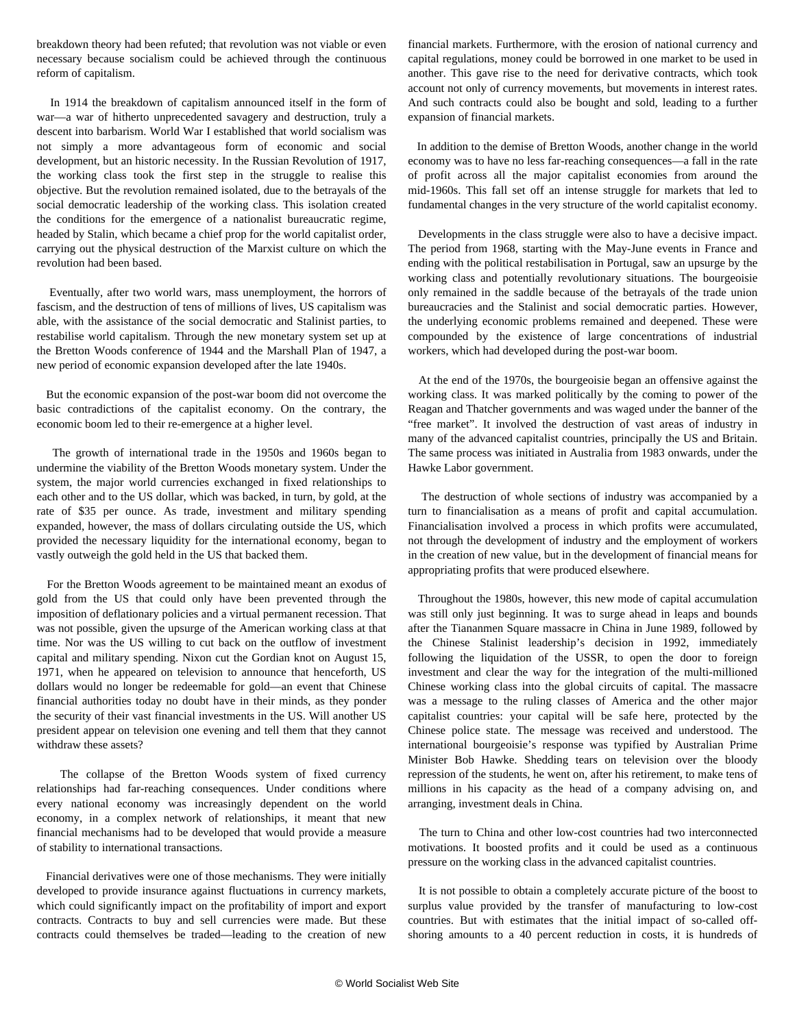breakdown theory had been refuted; that revolution was not viable or even necessary because socialism could be achieved through the continuous reform of capitalism.

 In 1914 the breakdown of capitalism announced itself in the form of war—a war of hitherto unprecedented savagery and destruction, truly a descent into barbarism. World War I established that world socialism was not simply a more advantageous form of economic and social development, but an historic necessity. In the Russian Revolution of 1917, the working class took the first step in the struggle to realise this objective. But the revolution remained isolated, due to the betrayals of the social democratic leadership of the working class. This isolation created the conditions for the emergence of a nationalist bureaucratic regime, headed by Stalin, which became a chief prop for the world capitalist order, carrying out the physical destruction of the Marxist culture on which the revolution had been based.

 Eventually, after two world wars, mass unemployment, the horrors of fascism, and the destruction of tens of millions of lives, US capitalism was able, with the assistance of the social democratic and Stalinist parties, to restabilise world capitalism. Through the new monetary system set up at the Bretton Woods conference of 1944 and the Marshall Plan of 1947, a new period of economic expansion developed after the late 1940s.

 But the economic expansion of the post-war boom did not overcome the basic contradictions of the capitalist economy. On the contrary, the economic boom led to their re-emergence at a higher level.

 The growth of international trade in the 1950s and 1960s began to undermine the viability of the Bretton Woods monetary system. Under the system, the major world currencies exchanged in fixed relationships to each other and to the US dollar, which was backed, in turn, by gold, at the rate of \$35 per ounce. As trade, investment and military spending expanded, however, the mass of dollars circulating outside the US, which provided the necessary liquidity for the international economy, began to vastly outweigh the gold held in the US that backed them.

 For the Bretton Woods agreement to be maintained meant an exodus of gold from the US that could only have been prevented through the imposition of deflationary policies and a virtual permanent recession. That was not possible, given the upsurge of the American working class at that time. Nor was the US willing to cut back on the outflow of investment capital and military spending. Nixon cut the Gordian knot on August 15, 1971, when he appeared on television to announce that henceforth, US dollars would no longer be redeemable for gold—an event that Chinese financial authorities today no doubt have in their minds, as they ponder the security of their vast financial investments in the US. Will another US president appear on television one evening and tell them that they cannot withdraw these assets?

 The collapse of the Bretton Woods system of fixed currency relationships had far-reaching consequences. Under conditions where every national economy was increasingly dependent on the world economy, in a complex network of relationships, it meant that new financial mechanisms had to be developed that would provide a measure of stability to international transactions.

 Financial derivatives were one of those mechanisms. They were initially developed to provide insurance against fluctuations in currency markets, which could significantly impact on the profitability of import and export contracts. Contracts to buy and sell currencies were made. But these contracts could themselves be traded—leading to the creation of new

financial markets. Furthermore, with the erosion of national currency and capital regulations, money could be borrowed in one market to be used in another. This gave rise to the need for derivative contracts, which took account not only of currency movements, but movements in interest rates. And such contracts could also be bought and sold, leading to a further expansion of financial markets.

 In addition to the demise of Bretton Woods, another change in the world economy was to have no less far-reaching consequences—a fall in the rate of profit across all the major capitalist economies from around the mid-1960s. This fall set off an intense struggle for markets that led to fundamental changes in the very structure of the world capitalist economy.

 Developments in the class struggle were also to have a decisive impact. The period from 1968, starting with the May-June events in France and ending with the political restabilisation in Portugal, saw an upsurge by the working class and potentially revolutionary situations. The bourgeoisie only remained in the saddle because of the betrayals of the trade union bureaucracies and the Stalinist and social democratic parties. However, the underlying economic problems remained and deepened. These were compounded by the existence of large concentrations of industrial workers, which had developed during the post-war boom.

 At the end of the 1970s, the bourgeoisie began an offensive against the working class. It was marked politically by the coming to power of the Reagan and Thatcher governments and was waged under the banner of the "free market". It involved the destruction of vast areas of industry in many of the advanced capitalist countries, principally the US and Britain. The same process was initiated in Australia from 1983 onwards, under the Hawke Labor government.

 The destruction of whole sections of industry was accompanied by a turn to financialisation as a means of profit and capital accumulation. Financialisation involved a process in which profits were accumulated, not through the development of industry and the employment of workers in the creation of new value, but in the development of financial means for appropriating profits that were produced elsewhere.

 Throughout the 1980s, however, this new mode of capital accumulation was still only just beginning. It was to surge ahead in leaps and bounds after the Tiananmen Square massacre in China in June 1989, followed by the Chinese Stalinist leadership's decision in 1992, immediately following the liquidation of the USSR, to open the door to foreign investment and clear the way for the integration of the multi-millioned Chinese working class into the global circuits of capital. The massacre was a message to the ruling classes of America and the other major capitalist countries: your capital will be safe here, protected by the Chinese police state. The message was received and understood. The international bourgeoisie's response was typified by Australian Prime Minister Bob Hawke. Shedding tears on television over the bloody repression of the students, he went on, after his retirement, to make tens of millions in his capacity as the head of a company advising on, and arranging, investment deals in China.

 The turn to China and other low-cost countries had two interconnected motivations. It boosted profits and it could be used as a continuous pressure on the working class in the advanced capitalist countries.

 It is not possible to obtain a completely accurate picture of the boost to surplus value provided by the transfer of manufacturing to low-cost countries. But with estimates that the initial impact of so-called offshoring amounts to a 40 percent reduction in costs, it is hundreds of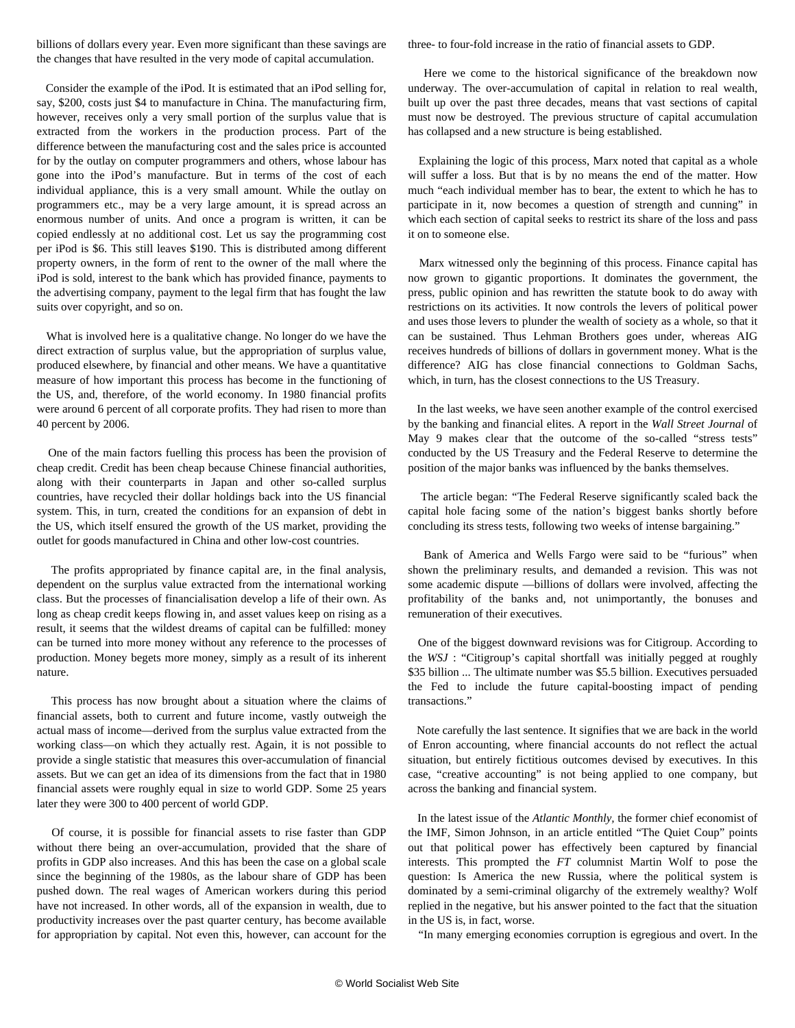billions of dollars every year. Even more significant than these savings are the changes that have resulted in the very mode of capital accumulation.

 Consider the example of the iPod. It is estimated that an iPod selling for, say, \$200, costs just \$4 to manufacture in China. The manufacturing firm, however, receives only a very small portion of the surplus value that is extracted from the workers in the production process. Part of the difference between the manufacturing cost and the sales price is accounted for by the outlay on computer programmers and others, whose labour has gone into the iPod's manufacture. But in terms of the cost of each individual appliance, this is a very small amount. While the outlay on programmers etc., may be a very large amount, it is spread across an enormous number of units. And once a program is written, it can be copied endlessly at no additional cost. Let us say the programming cost per iPod is \$6. This still leaves \$190. This is distributed among different property owners, in the form of rent to the owner of the mall where the iPod is sold, interest to the bank which has provided finance, payments to the advertising company, payment to the legal firm that has fought the law suits over copyright, and so on.

 What is involved here is a qualitative change. No longer do we have the direct extraction of surplus value, but the appropriation of surplus value, produced elsewhere, by financial and other means. We have a quantitative measure of how important this process has become in the functioning of the US, and, therefore, of the world economy. In 1980 financial profits were around 6 percent of all corporate profits. They had risen to more than 40 percent by 2006.

 One of the main factors fuelling this process has been the provision of cheap credit. Credit has been cheap because Chinese financial authorities, along with their counterparts in Japan and other so-called surplus countries, have recycled their dollar holdings back into the US financial system. This, in turn, created the conditions for an expansion of debt in the US, which itself ensured the growth of the US market, providing the outlet for goods manufactured in China and other low-cost countries.

 The profits appropriated by finance capital are, in the final analysis, dependent on the surplus value extracted from the international working class. But the processes of financialisation develop a life of their own. As long as cheap credit keeps flowing in, and asset values keep on rising as a result, it seems that the wildest dreams of capital can be fulfilled: money can be turned into more money without any reference to the processes of production. Money begets more money, simply as a result of its inherent nature.

 This process has now brought about a situation where the claims of financial assets, both to current and future income, vastly outweigh the actual mass of income—derived from the surplus value extracted from the working class—on which they actually rest. Again, it is not possible to provide a single statistic that measures this over-accumulation of financial assets. But we can get an idea of its dimensions from the fact that in 1980 financial assets were roughly equal in size to world GDP. Some 25 years later they were 300 to 400 percent of world GDP.

 Of course, it is possible for financial assets to rise faster than GDP without there being an over-accumulation, provided that the share of profits in GDP also increases. And this has been the case on a global scale since the beginning of the 1980s, as the labour share of GDP has been pushed down. The real wages of American workers during this period have not increased. In other words, all of the expansion in wealth, due to productivity increases over the past quarter century, has become available for appropriation by capital. Not even this, however, can account for the three- to four-fold increase in the ratio of financial assets to GDP.

 Here we come to the historical significance of the breakdown now underway. The over-accumulation of capital in relation to real wealth, built up over the past three decades, means that vast sections of capital must now be destroyed. The previous structure of capital accumulation has collapsed and a new structure is being established.

 Explaining the logic of this process, Marx noted that capital as a whole will suffer a loss. But that is by no means the end of the matter. How much "each individual member has to bear, the extent to which he has to participate in it, now becomes a question of strength and cunning" in which each section of capital seeks to restrict its share of the loss and pass it on to someone else.

 Marx witnessed only the beginning of this process. Finance capital has now grown to gigantic proportions. It dominates the government, the press, public opinion and has rewritten the statute book to do away with restrictions on its activities. It now controls the levers of political power and uses those levers to plunder the wealth of society as a whole, so that it can be sustained. Thus Lehman Brothers goes under, whereas AIG receives hundreds of billions of dollars in government money. What is the difference? AIG has close financial connections to Goldman Sachs, which, in turn, has the closest connections to the US Treasury.

 In the last weeks, we have seen another example of the control exercised by the banking and financial elites. A report in the *Wall Street Journal* of May 9 makes clear that the outcome of the so-called "stress tests" conducted by the US Treasury and the Federal Reserve to determine the position of the major banks was influenced by the banks themselves.

 The article began: "The Federal Reserve significantly scaled back the capital hole facing some of the nation's biggest banks shortly before concluding its stress tests, following two weeks of intense bargaining."

 Bank of America and Wells Fargo were said to be "furious" when shown the preliminary results, and demanded a revision. This was not some academic dispute —billions of dollars were involved, affecting the profitability of the banks and, not unimportantly, the bonuses and remuneration of their executives.

 One of the biggest downward revisions was for Citigroup. According to the *WSJ* : "Citigroup's capital shortfall was initially pegged at roughly \$35 billion ... The ultimate number was \$5.5 billion. Executives persuaded the Fed to include the future capital-boosting impact of pending transactions."

 Note carefully the last sentence. It signifies that we are back in the world of Enron accounting, where financial accounts do not reflect the actual situation, but entirely fictitious outcomes devised by executives. In this case, "creative accounting" is not being applied to one company, but across the banking and financial system.

 In the latest issue of the *Atlantic Monthly,* the former chief economist of the IMF, Simon Johnson, in an article entitled "The Quiet Coup" points out that political power has effectively been captured by financial interests. This prompted the *FT* columnist Martin Wolf to pose the question: Is America the new Russia, where the political system is dominated by a semi-criminal oligarchy of the extremely wealthy? Wolf replied in the negative, but his answer pointed to the fact that the situation in the US is, in fact, worse.

"In many emerging economies corruption is egregious and overt. In the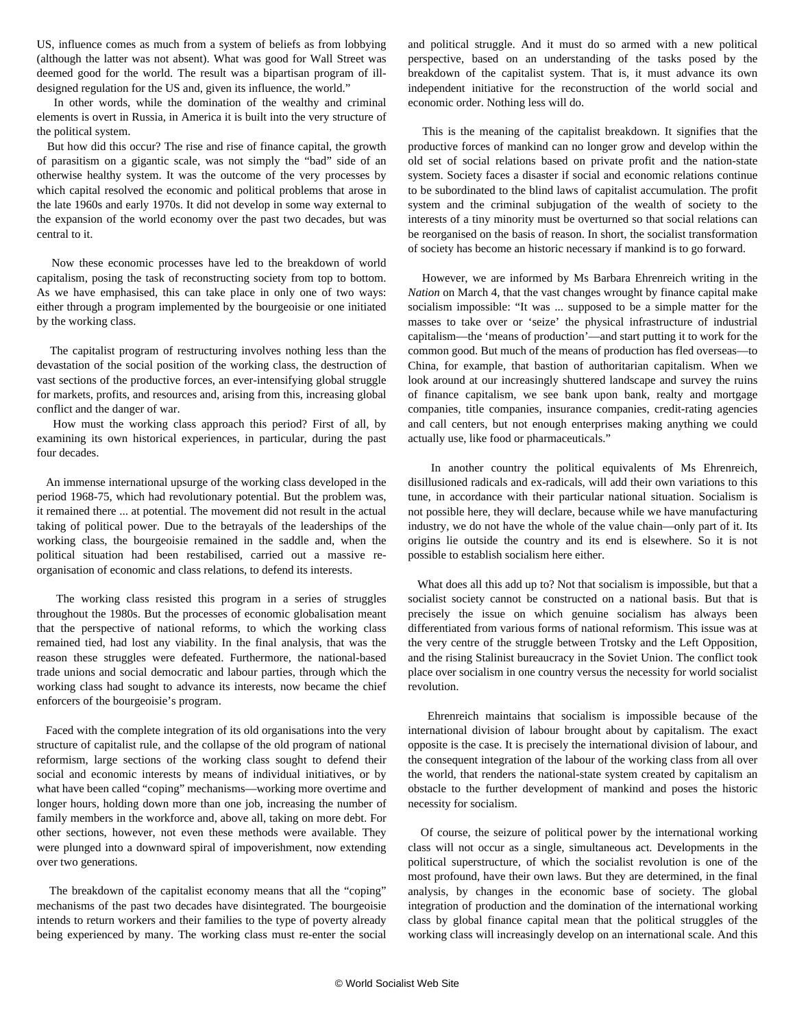US, influence comes as much from a system of beliefs as from lobbying (although the latter was not absent). What was good for Wall Street was deemed good for the world. The result was a bipartisan program of illdesigned regulation for the US and, given its influence, the world."

 In other words, while the domination of the wealthy and criminal elements is overt in Russia, in America it is built into the very structure of the political system.

 But how did this occur? The rise and rise of finance capital, the growth of parasitism on a gigantic scale, was not simply the "bad" side of an otherwise healthy system. It was the outcome of the very processes by which capital resolved the economic and political problems that arose in the late 1960s and early 1970s. It did not develop in some way external to the expansion of the world economy over the past two decades, but was central to it.

 Now these economic processes have led to the breakdown of world capitalism, posing the task of reconstructing society from top to bottom. As we have emphasised, this can take place in only one of two ways: either through a program implemented by the bourgeoisie or one initiated by the working class.

 The capitalist program of restructuring involves nothing less than the devastation of the social position of the working class, the destruction of vast sections of the productive forces, an ever-intensifying global struggle for markets, profits, and resources and, arising from this, increasing global conflict and the danger of war.

 How must the working class approach this period? First of all, by examining its own historical experiences, in particular, during the past four decades.

 An immense international upsurge of the working class developed in the period 1968-75, which had revolutionary potential. But the problem was, it remained there ... at potential. The movement did not result in the actual taking of political power. Due to the betrayals of the leaderships of the working class, the bourgeoisie remained in the saddle and, when the political situation had been restabilised, carried out a massive reorganisation of economic and class relations, to defend its interests.

 The working class resisted this program in a series of struggles throughout the 1980s. But the processes of economic globalisation meant that the perspective of national reforms, to which the working class remained tied, had lost any viability. In the final analysis, that was the reason these struggles were defeated. Furthermore, the national-based trade unions and social democratic and labour parties, through which the working class had sought to advance its interests, now became the chief enforcers of the bourgeoisie's program.

 Faced with the complete integration of its old organisations into the very structure of capitalist rule, and the collapse of the old program of national reformism, large sections of the working class sought to defend their social and economic interests by means of individual initiatives, or by what have been called "coping" mechanisms—working more overtime and longer hours, holding down more than one job, increasing the number of family members in the workforce and, above all, taking on more debt. For other sections, however, not even these methods were available. They were plunged into a downward spiral of impoverishment, now extending over two generations.

 The breakdown of the capitalist economy means that all the "coping" mechanisms of the past two decades have disintegrated. The bourgeoisie intends to return workers and their families to the type of poverty already being experienced by many. The working class must re-enter the social and political struggle. And it must do so armed with a new political perspective, based on an understanding of the tasks posed by the breakdown of the capitalist system. That is, it must advance its own independent initiative for the reconstruction of the world social and economic order. Nothing less will do.

 This is the meaning of the capitalist breakdown. It signifies that the productive forces of mankind can no longer grow and develop within the old set of social relations based on private profit and the nation-state system. Society faces a disaster if social and economic relations continue to be subordinated to the blind laws of capitalist accumulation. The profit system and the criminal subjugation of the wealth of society to the interests of a tiny minority must be overturned so that social relations can be reorganised on the basis of reason. In short, the socialist transformation of society has become an historic necessary if mankind is to go forward.

 However, we are informed by Ms Barbara Ehrenreich writing in the *Nation* on March 4, that the vast changes wrought by finance capital make socialism impossible: "It was ... supposed to be a simple matter for the masses to take over or 'seize' the physical infrastructure of industrial capitalism—the 'means of production'—and start putting it to work for the common good. But much of the means of production has fled overseas—to China, for example, that bastion of authoritarian capitalism. When we look around at our increasingly shuttered landscape and survey the ruins of finance capitalism, we see bank upon bank, realty and mortgage companies, title companies, insurance companies, credit-rating agencies and call centers, but not enough enterprises making anything we could actually use, like food or pharmaceuticals."

 In another country the political equivalents of Ms Ehrenreich, disillusioned radicals and ex-radicals, will add their own variations to this tune, in accordance with their particular national situation. Socialism is not possible here, they will declare, because while we have manufacturing industry, we do not have the whole of the value chain—only part of it. Its origins lie outside the country and its end is elsewhere. So it is not possible to establish socialism here either.

 What does all this add up to? Not that socialism is impossible, but that a socialist society cannot be constructed on a national basis. But that is precisely the issue on which genuine socialism has always been differentiated from various forms of national reformism. This issue was at the very centre of the struggle between Trotsky and the Left Opposition, and the rising Stalinist bureaucracy in the Soviet Union. The conflict took place over socialism in one country versus the necessity for world socialist revolution.

 Ehrenreich maintains that socialism is impossible because of the international division of labour brought about by capitalism. The exact opposite is the case. It is precisely the international division of labour, and the consequent integration of the labour of the working class from all over the world, that renders the national-state system created by capitalism an obstacle to the further development of mankind and poses the historic necessity for socialism.

 Of course, the seizure of political power by the international working class will not occur as a single, simultaneous act. Developments in the political superstructure, of which the socialist revolution is one of the most profound, have their own laws. But they are determined, in the final analysis, by changes in the economic base of society. The global integration of production and the domination of the international working class by global finance capital mean that the political struggles of the working class will increasingly develop on an international scale. And this